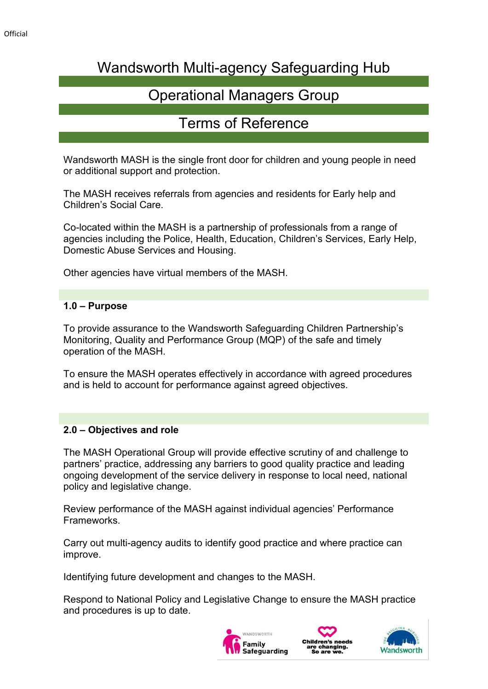# Wandsworth Multi-agency Safeguarding Hub

# Operational Managers Group

## Terms of Reference

Wandsworth MASH is the single front door for children and young people in need or additional support and protection.

The MASH receives referrals from agencies and residents for Early help and Children's Social Care.

Co-located within the MASH is a partnership of professionals from a range of agencies including the Police, Health, Education, Children's Services, Early Help, Domestic Abuse Services and Housing.

Other agencies have virtual members of the MASH.

### **1.0 – Purpose**

To provide assurance to the Wandsworth Safeguarding Children Partnership's Monitoring, Quality and Performance Group (MQP) of the safe and timely operation of the MASH.

To ensure the MASH operates effectively in accordance with agreed procedures and is held to account for performance against agreed objectives.

### **2.0 – Objectives and role**

The MASH Operational Group will provide effective scrutiny of and challenge to partners' practice, addressing any barriers to good quality practice and leading ongoing development of the service delivery in response to local need, national policy and legislative change.

Review performance of the MASH against individual agencies' Performance Frameworks.

Carry out multi-agency audits to identify good practice and where practice can improve.

Identifying future development and changes to the MASH.

Respond to National Policy and Legislative Change to ensure the MASH practice and procedures is up to date.